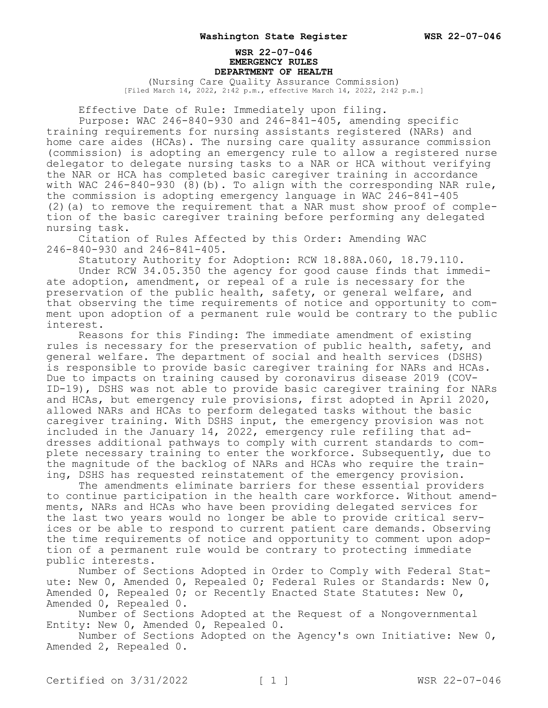## **WSR 22-07-046 EMERGENCY RULES DEPARTMENT OF HEALTH**

(Nursing Care Quality Assurance Commission) [Filed March 14, 2022, 2:42 p.m., effective March 14, 2022, 2:42 p.m.]

Effective Date of Rule: Immediately upon filing.

Purpose: WAC 246-840-930 and 246-841-405, amending specific training requirements for nursing assistants registered (NARs) and home care aides (HCAs). The nursing care quality assurance commission (commission) is adopting an emergency rule to allow a registered nurse delegator to delegate nursing tasks to a NAR or HCA without verifying the NAR or HCA has completed basic caregiver training in accordance with WAC 246-840-930 (8)(b). To align with the corresponding NAR rule, the commission is adopting emergency language in WAC 246-841-405 (2)(a) to remove the requirement that a NAR must show proof of completion of the basic caregiver training before performing any delegated nursing task.

Citation of Rules Affected by this Order: Amending WAC 246-840-930 and 246-841-405.

Statutory Authority for Adoption: RCW 18.88A.060, 18.79.110.

Under RCW 34.05.350 the agency for good cause finds that immediate adoption, amendment, or repeal of a rule is necessary for the preservation of the public health, safety, or general welfare, and that observing the time requirements of notice and opportunity to comment upon adoption of a permanent rule would be contrary to the public interest.

Reasons for this Finding: The immediate amendment of existing rules is necessary for the preservation of public health, safety, and general welfare. The department of social and health services (DSHS) is responsible to provide basic caregiver training for NARs and HCAs. Due to impacts on training caused by coronavirus disease 2019 (COV-ID-19), DSHS was not able to provide basic caregiver training for NARs and HCAs, but emergency rule provisions, first adopted in April 2020, allowed NARs and HCAs to perform delegated tasks without the basic caregiver training. With DSHS input, the emergency provision was not included in the January 14, 2022, emergency rule refiling that addresses additional pathways to comply with current standards to complete necessary training to enter the workforce. Subsequently, due to the magnitude of the backlog of NARs and HCAs who require the training, DSHS has requested reinstatement of the emergency provision.

The amendments eliminate barriers for these essential providers to continue participation in the health care workforce. Without amendments, NARs and HCAs who have been providing delegated services for the last two years would no longer be able to provide critical services or be able to respond to current patient care demands. Observing the time requirements of notice and opportunity to comment upon adoption of a permanent rule would be contrary to protecting immediate public interests.

Number of Sections Adopted in Order to Comply with Federal Statute: New 0, Amended 0, Repealed 0; Federal Rules or Standards: New 0, Amended 0, Repealed 0; or Recently Enacted State Statutes: New 0, Amended 0, Repealed 0.

Number of Sections Adopted at the Request of a Nongovernmental Entity: New 0, Amended 0, Repealed 0.

Number of Sections Adopted on the Agency's own Initiative: New 0, Amended 2, Repealed 0.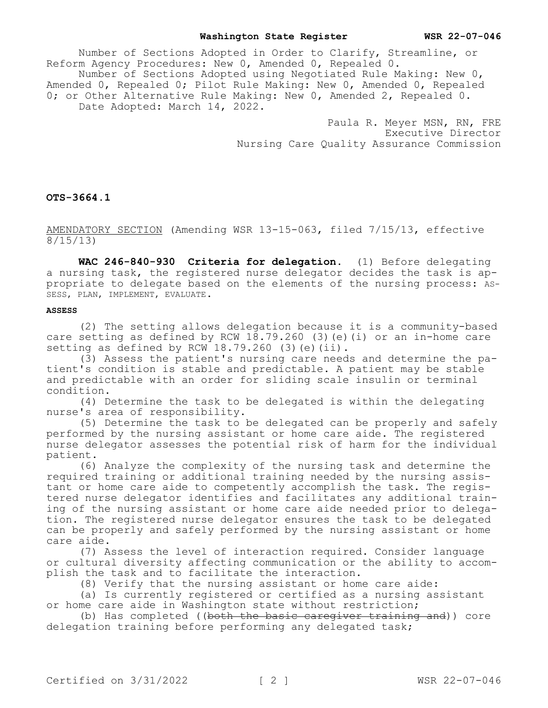### **Washington State Register WSR 22-07-046**

Number of Sections Adopted in Order to Clarify, Streamline, or Reform Agency Procedures: New 0, Amended 0, Repealed 0. Number of Sections Adopted using Negotiated Rule Making: New 0, Amended 0, Repealed 0; Pilot Rule Making: New 0, Amended 0, Repealed 0; or Other Alternative Rule Making: New 0, Amended 2, Repealed 0. Date Adopted: March 14, 2022.

> Paula R. Meyer MSN, RN, FRE Executive Director Nursing Care Quality Assurance Commission

# **OTS-3664.1**

AMENDATORY SECTION (Amending WSR 13-15-063, filed 7/15/13, effective  $\frac{1}{8/15/13}$ 

**WAC 246-840-930 Criteria for delegation.** (1) Before delegating a nursing task, the registered nurse delegator decides the task is appropriate to delegate based on the elements of the nursing process: AS-SESS, PLAN, IMPLEMENT, EVALUATE.

# **ASSESS**

(2) The setting allows delegation because it is a community-based care setting as defined by RCW  $18.79.260$  (3) (e)(i) or an in-home care setting as defined by RCW  $18.79.260$  (3)(e)(ii).

(3) Assess the patient's nursing care needs and determine the patient's condition is stable and predictable. A patient may be stable and predictable with an order for sliding scale insulin or terminal condition.

(4) Determine the task to be delegated is within the delegating nurse's area of responsibility.

(5) Determine the task to be delegated can be properly and safely performed by the nursing assistant or home care aide. The registered nurse delegator assesses the potential risk of harm for the individual patient.

(6) Analyze the complexity of the nursing task and determine the required training or additional training needed by the nursing assistant or home care aide to competently accomplish the task. The registered nurse delegator identifies and facilitates any additional training of the nursing assistant or home care aide needed prior to delegation. The registered nurse delegator ensures the task to be delegated can be properly and safely performed by the nursing assistant or home care aide.

(7) Assess the level of interaction required. Consider language or cultural diversity affecting communication or the ability to accomplish the task and to facilitate the interaction.

(8) Verify that the nursing assistant or home care aide:

(a) Is currently registered or certified as a nursing assistant or home care aide in Washington state without restriction;

(b) Has completed ((both the basic caregiver training and)) core delegation training before performing any delegated task;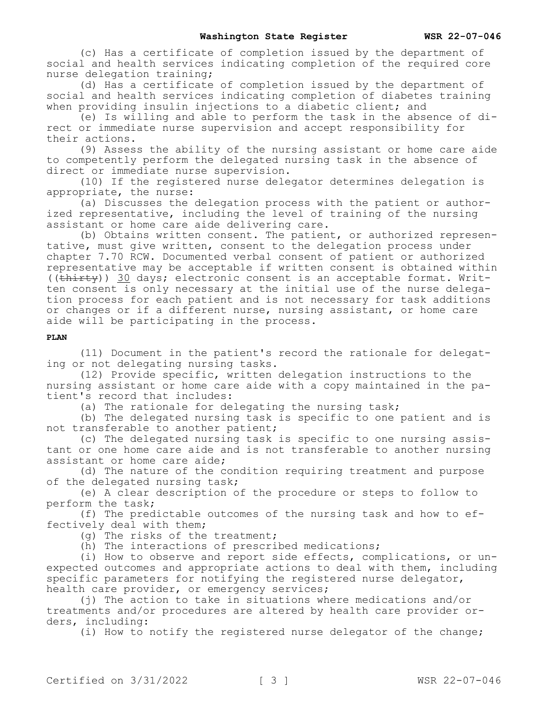(c) Has a certificate of completion issued by the department of social and health services indicating completion of the required core nurse delegation training;

(d) Has a certificate of completion issued by the department of social and health services indicating completion of diabetes training when providing insulin injections to a diabetic client; and

(e) Is willing and able to perform the task in the absence of direct or immediate nurse supervision and accept responsibility for their actions.

(9) Assess the ability of the nursing assistant or home care aide to competently perform the delegated nursing task in the absence of direct or immediate nurse supervision.

(10) If the registered nurse delegator determines delegation is appropriate, the nurse:

(a) Discusses the delegation process with the patient or authorized representative, including the level of training of the nursing assistant or home care aide delivering care.

(b) Obtains written consent. The patient, or authorized representative, must give written, consent to the delegation process under chapter 7.70 RCW. Documented verbal consent of patient or authorized representative may be acceptable if written consent is obtained within ((thirty)) 30 days; electronic consent is an acceptable format. Written consent is only necessary at the initial use of the nurse delegation process for each patient and is not necessary for task additions or changes or if a different nurse, nursing assistant, or home care aide will be participating in the process.

### **PLAN**

(11) Document in the patient's record the rationale for delegating or not delegating nursing tasks.

(12) Provide specific, written delegation instructions to the nursing assistant or home care aide with a copy maintained in the patient's record that includes:

(a) The rationale for delegating the nursing task;

(b) The delegated nursing task is specific to one patient and is not transferable to another patient;

(c) The delegated nursing task is specific to one nursing assistant or one home care aide and is not transferable to another nursing assistant or home care aide;

(d) The nature of the condition requiring treatment and purpose of the delegated nursing task;

(e) A clear description of the procedure or steps to follow to perform the task;

(f) The predictable outcomes of the nursing task and how to effectively deal with them;

(g) The risks of the treatment;

(h) The interactions of prescribed medications;

(i) How to observe and report side effects, complications, or unexpected outcomes and appropriate actions to deal with them, including specific parameters for notifying the registered nurse delegator, health care provider, or emergency services;

(j) The action to take in situations where medications and/or treatments and/or procedures are altered by health care provider orders, including:

(i) How to notify the registered nurse delegator of the change;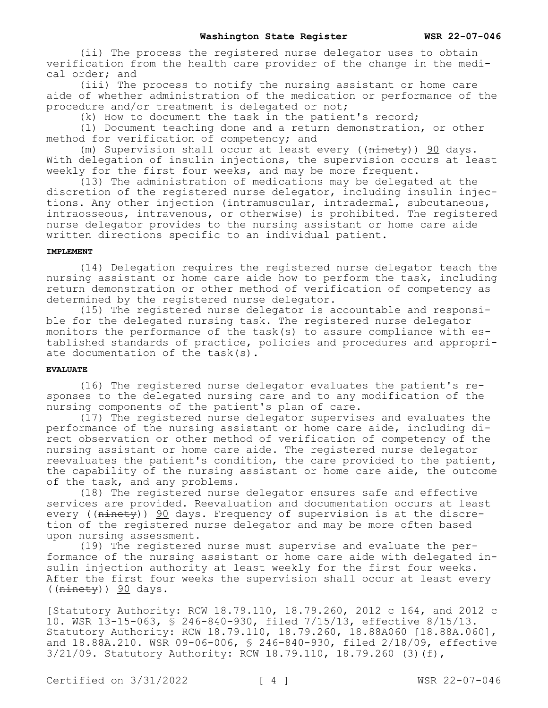(ii) The process the registered nurse delegator uses to obtain verification from the health care provider of the change in the medical order; and

(iii) The process to notify the nursing assistant or home care aide of whether administration of the medication or performance of the procedure and/or treatment is delegated or not;

(k) How to document the task in the patient's record;

(l) Document teaching done and a return demonstration, or other method for verification of competency; and

(m) Supervision shall occur at least every ( $(\overline{ninety})$ ) 90 days. With delegation of insulin injections, the supervision occurs at least weekly for the first four weeks, and may be more frequent.

(13) The administration of medications may be delegated at the discretion of the registered nurse delegator, including insulin injections. Any other injection (intramuscular, intradermal, subcutaneous, intraosseous, intravenous, or otherwise) is prohibited. The registered nurse delegator provides to the nursing assistant or home care aide written directions specific to an individual patient.

### **IMPLEMENT**

(14) Delegation requires the registered nurse delegator teach the nursing assistant or home care aide how to perform the task, including return demonstration or other method of verification of competency as determined by the registered nurse delegator.

(15) The registered nurse delegator is accountable and responsible for the delegated nursing task. The registered nurse delegator monitors the performance of the task(s) to assure compliance with established standards of practice, policies and procedures and appropriate documentation of the task(s).

# **EVALUATE**

(16) The registered nurse delegator evaluates the patient's responses to the delegated nursing care and to any modification of the nursing components of the patient's plan of care.

(17) The registered nurse delegator supervises and evaluates the performance of the nursing assistant or home care aide, including direct observation or other method of verification of competency of the nursing assistant or home care aide. The registered nurse delegator reevaluates the patient's condition, the care provided to the patient, the capability of the nursing assistant or home care aide, the outcome of the task, and any problems.

(18) The registered nurse delegator ensures safe and effective services are provided. Reevaluation and documentation occurs at least every ( $(\overline{\text{ninety}})$ ) 90 days. Frequency of supervision is at the discretion of the registered nurse delegator and may be more often based upon nursing assessment.

(19) The registered nurse must supervise and evaluate the performance of the nursing assistant or home care aide with delegated insulin injection authority at least weekly for the first four weeks. After the first four weeks the supervision shall occur at least every  $((\text{ninety}))$  90 days.

[Statutory Authority: RCW 18.79.110, 18.79.260, 2012 c 164, and 2012 c 10. WSR 13-15-063, § 246-840-930, filed 7/15/13, effective 8/15/13. Statutory Authority: RCW 18.79.110, 18.79.260, 18.88A060 [18.88A.060], and 18.88A.210. WSR 09-06-006, § 246-840-930, filed 2/18/09, effective 3/21/09. Statutory Authority: RCW 18.79.110, 18.79.260 (3)(f),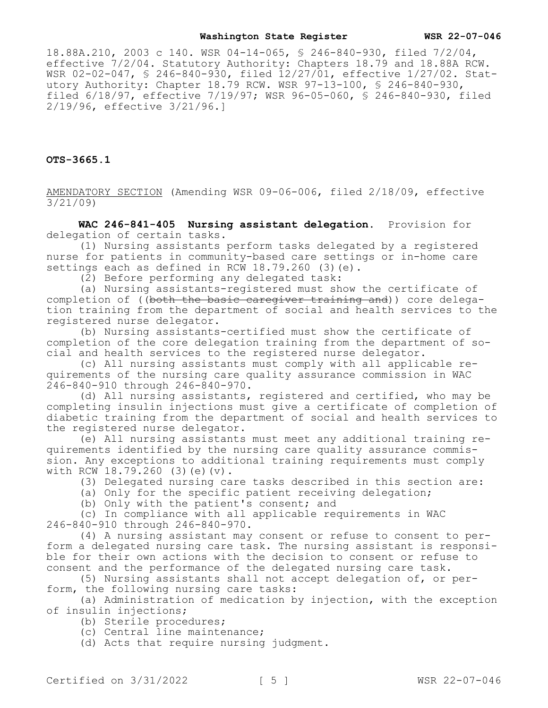### **Washington State Register WSR 22-07-046**

18.88A.210, 2003 c 140. WSR 04-14-065, § 246-840-930, filed 7/2/04, effective 7/2/04. Statutory Authority: Chapters 18.79 and 18.88A RCW. WSR 02-02-047, § 246-840-930, filed 12/27/01, effective 1/27/02. Statutory Authority: Chapter 18.79 RCW. WSR 97-13-100, § 246-840-930, filed 6/18/97, effective 7/19/97; WSR 96-05-060, § 246-840-930, filed 2/19/96, effective 3/21/96.]

**OTS-3665.1**

AMENDATORY SECTION (Amending WSR 09-06-006, filed 2/18/09, effective 3/21/09)

**WAC 246-841-405 Nursing assistant delegation.** Provision for delegation of certain tasks.

(1) Nursing assistants perform tasks delegated by a registered nurse for patients in community-based care settings or in-home care settings each as defined in RCW  $18.79.260$  (3)(e).

(2) Before performing any delegated task:

(a) Nursing assistants-registered must show the certificate of completion of ((both the basic caregiver training and)) core delegation training from the department of social and health services to the registered nurse delegator.

(b) Nursing assistants-certified must show the certificate of completion of the core delegation training from the department of social and health services to the registered nurse delegator.

(c) All nursing assistants must comply with all applicable requirements of the nursing care quality assurance commission in WAC 246-840-910 through 246-840-970.

(d) All nursing assistants, registered and certified, who may be completing insulin injections must give a certificate of completion of diabetic training from the department of social and health services to the registered nurse delegator.

(e) All nursing assistants must meet any additional training requirements identified by the nursing care quality assurance commission. Any exceptions to additional training requirements must comply with RCW 18.79.260 (3)(e)(v).

(3) Delegated nursing care tasks described in this section are:

(a) Only for the specific patient receiving delegation;

(b) Only with the patient's consent; and

(c) In compliance with all applicable requirements in WAC 246-840-910 through 246-840-970.

(4) A nursing assistant may consent or refuse to consent to perform a delegated nursing care task. The nursing assistant is responsible for their own actions with the decision to consent or refuse to consent and the performance of the delegated nursing care task.

(5) Nursing assistants shall not accept delegation of, or perform, the following nursing care tasks:

(a) Administration of medication by injection, with the exception of insulin injections;

(b) Sterile procedures;

(c) Central line maintenance;

(d) Acts that require nursing judgment.